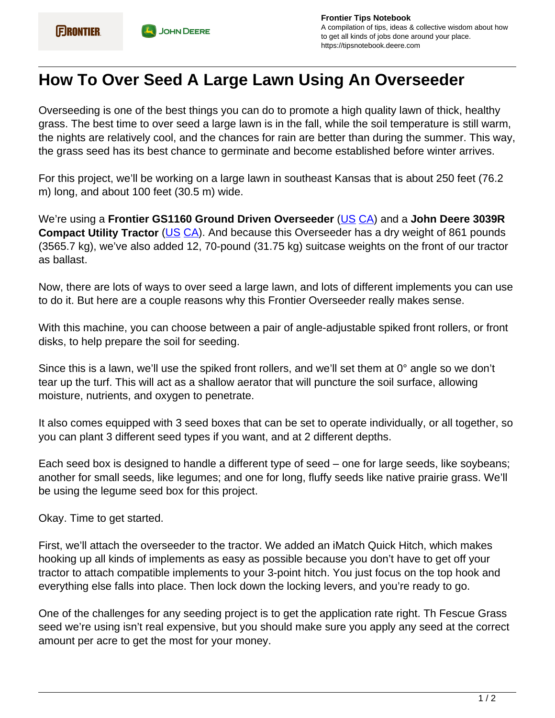## **How To Over Seed A Large Lawn Using An Overseeder**

Overseeding is one of the best things you can do to promote a high quality lawn of thick, healthy grass. The best time to over seed a large lawn is in the fall, while the soil temperature is still warm, the nights are relatively cool, and the chances for rain are better than during the summer. This way, the grass seed has its best chance to germinate and become established before winter arrives.

For this project, we'll be working on a large lawn in southeast Kansas that is about 250 feet (76.2 m) long, and about 100 feet (30.5 m) wide.

We're using a **Frontier GS1160 Ground Driven Overseeder** ([US](https://www.deere.com/en/attachments-accessories-and-implements/utility-tractors-attachments-accessories/seeding-equipment/) [CA\)](https://www.deere.ca/en/attachments-accessories-and-implements/utility-tractors-attachments-accessories/seeding-equipment/) and a **John Deere 3039R Compact Utility Tractor** ([US](https://www.deere.com/en/tractors/utility-tractors/3-family-compact-utility-tractors/) [CA](https://www.deere.ca/en/tractors/utility-tractors/3-family-compact-utility-tractors/)). And because this Overseeder has a dry weight of 861 pounds (3565.7 kg), we've also added 12, 70-pound (31.75 kg) suitcase weights on the front of our tractor as ballast.

Now, there are lots of ways to over seed a large lawn, and lots of different implements you can use to do it. But here are a couple reasons why this Frontier Overseeder really makes sense.

With this machine, you can choose between a pair of angle-adjustable spiked front rollers, or front disks, to help prepare the soil for seeding.

Since this is a lawn, we'll use the spiked front rollers, and we'll set them at 0° angle so we don't tear up the turf. This will act as a shallow aerator that will puncture the soil surface, allowing moisture, nutrients, and oxygen to penetrate.

It also comes equipped with 3 seed boxes that can be set to operate individually, or all together, so you can plant 3 different seed types if you want, and at 2 different depths.

Each seed box is designed to handle a different type of seed – one for large seeds, like soybeans; another for small seeds, like legumes; and one for long, fluffy seeds like native prairie grass. We'll be using the legume seed box for this project.

Okay. Time to get started.

First, we'll attach the overseeder to the tractor. We added an iMatch Quick Hitch, which makes hooking up all kinds of implements as easy as possible because you don't have to get off your tractor to attach compatible implements to your 3-point hitch. You just focus on the top hook and everything else falls into place. Then lock down the locking levers, and you're ready to go.

One of the challenges for any seeding project is to get the application rate right. Th Fescue Grass seed we're using isn't real expensive, but you should make sure you apply any seed at the correct amount per acre to get the most for your money.